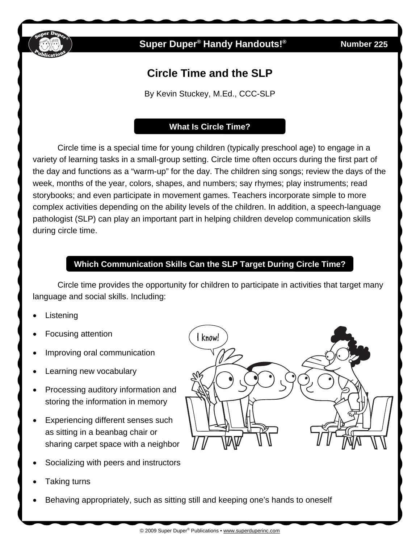

# **Super Duper<sup>®</sup> Handy Handouts!<sup>®</sup>**

**225** 

# **Circle Time and the SLP**

By Kevin Stuckey, M.Ed., CCC-SLP

#### **What Is Circle Time?**

Circle time is a special time for young children (typically preschool age) to engage in a variety of learning tasks in a small-group setting. Circle time often occurs during the first part of the day and functions as a "warm-up" for the day. The children sing songs; review the days of the week, months of the year, colors, shapes, and numbers; say rhymes; play instruments; read storybooks; and even participate in movement games. Teachers incorporate simple to more complex activities depending on the ability levels of the children. In addition, a speech-language pathologist (SLP) can play an important part in helping children develop communication skills during circle time.

## **Which Communication Skills Can the SLP Target During Circle Time?**

Circle time provides the opportunity for children to participate in activities that target many language and social skills. Including:

- **Listening**
- Focusing attention
- Improving oral communication
- Learning new vocabulary
- Processing auditory information and storing the information in memory
- Experiencing different senses such as sitting in a beanbag chair or sharing carpet space with a neighbor
- Socializing with peers and instructors
- Taking turns
- Behaving appropriately, such as sitting still and keeping one's hands to oneself